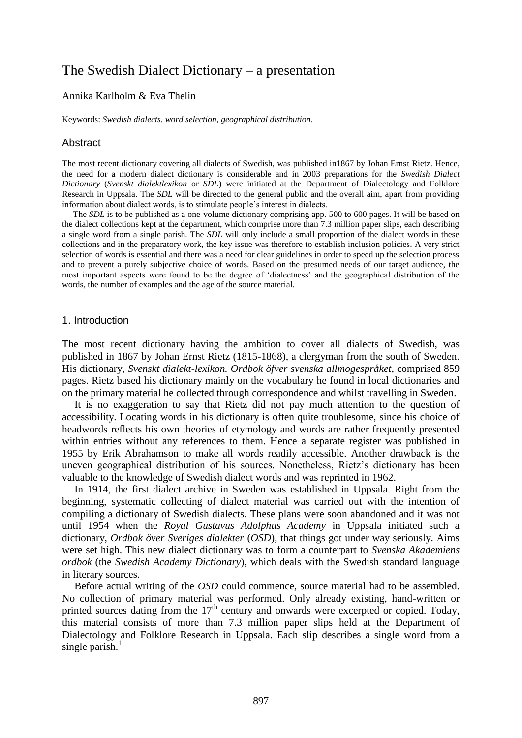# The Swedish Dialect Dictionary – a presentation

### Annika Karlholm & Eva Thelin

Keywords: *Swedish dialects*, *word selection*, *geographical distribution*.

#### **Abstract**

The most recent dictionary covering all dialects of Swedish, was published in1867 by Johan Ernst Rietz. Hence, the need for a modern dialect dictionary is considerable and in 2003 preparations for the *Swedish Dialect Dictionary* (*Svenskt dialektlexikon* or *SDL*) were initiated at the Department of Dialectology and Folklore Research in Uppsala. The *SDL* will be directed to the general public and the overall aim, apart from providing information about dialect words, is to stimulate people's interest in dialects.

The *SDL* is to be published as a one-volume dictionary comprising app. 500 to 600 pages. It will be based on the dialect collections kept at the department, which comprise more than 7.3 million paper slips, each describing a single word from a single parish. The *SDL* will only include a small proportion of the dialect words in these collections and in the preparatory work, the key issue was therefore to establish inclusion policies. A very strict selection of words is essential and there was a need for clear guidelines in order to speed up the selection process and to prevent a purely subjective choice of words. Based on the presumed needs of our target audience, the most important aspects were found to be the degree of 'dialectness' and the geographical distribution of the words, the number of examples and the age of the source material.

#### 1. Introduction

The most recent dictionary having the ambition to cover all dialects of Swedish, was published in 1867 by Johan Ernst Rietz (1815-1868), a clergyman from the south of Sweden. His dictionary, *Svenskt dialekt-lexikon. Ordbok öfver svenska allmogespråket*, comprised 859 pages. Rietz based his dictionary mainly on the vocabulary he found in local dictionaries and on the primary material he collected through correspondence and whilst travelling in Sweden.

It is no exaggeration to say that Rietz did not pay much attention to the question of accessibility. Locating words in his dictionary is often quite troublesome, since his choice of headwords reflects his own theories of etymology and words are rather frequently presented within entries without any references to them. Hence a separate register was published in 1955 by Erik Abrahamson to make all words readily accessible. Another drawback is the uneven geographical distribution of his sources. Nonetheless, Rietz's dictionary has been valuable to the knowledge of Swedish dialect words and was reprinted in 1962.

In 1914, the first dialect archive in Sweden was established in Uppsala. Right from the beginning, systematic collecting of dialect material was carried out with the intention of compiling a dictionary of Swedish dialects. These plans were soon abandoned and it was not until 1954 when the *Royal Gustavus Adolphus Academy* in Uppsala initiated such a dictionary, *Ordbok över Sveriges dialekter* (*OSD*), that things got under way seriously. Aims were set high. This new dialect dictionary was to form a counterpart to *Svenska Akademiens ordbok* (the *Swedish Academy Dictionary*), which deals with the Swedish standard language in literary sources.

Before actual writing of the *OSD* could commence, source material had to be assembled. No collection of primary material was performed. Only already existing, hand-written or printed sources dating from the  $17<sup>th</sup>$  century and onwards were excerpted or copied. Today, this material consists of more than 7.3 million paper slips held at the Department of Dialectology and Folklore Research in Uppsala. Each slip describes a single word from a single parish. $<sup>1</sup>$ </sup>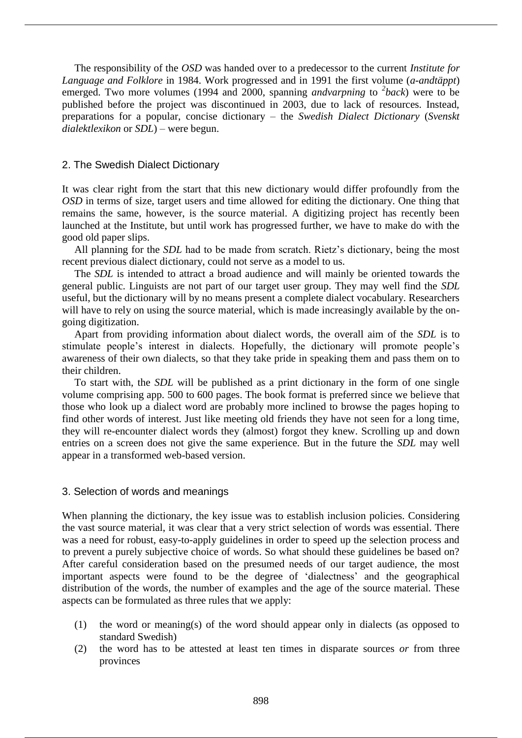The responsibility of the *OSD* was handed over to a predecessor to the current *Institute for Language and Folklore* in 1984. Work progressed and in 1991 the first volume (*a-andtäppt*) emerged. Two more volumes (1994 and 2000, spanning *andvarpning* to <sup>2</sup>back) were to be published before the project was discontinued in 2003, due to lack of resources. Instead, preparations for a popular, concise dictionary – the *Swedish Dialect Dictionary* (*Svenskt dialektlexikon* or *SDL*) – were begun.

### 2. The Swedish Dialect Dictionary

It was clear right from the start that this new dictionary would differ profoundly from the *OSD* in terms of size, target users and time allowed for editing the dictionary. One thing that remains the same, however, is the source material. A digitizing project has recently been launched at the Institute, but until work has progressed further, we have to make do with the good old paper slips.

All planning for the *SDL* had to be made from scratch. Rietz's dictionary, being the most recent previous dialect dictionary, could not serve as a model to us.

The *SDL* is intended to attract a broad audience and will mainly be oriented towards the general public. Linguists are not part of our target user group. They may well find the *SDL* useful, but the dictionary will by no means present a complete dialect vocabulary. Researchers will have to rely on using the source material, which is made increasingly available by the ongoing digitization.

Apart from providing information about dialect words, the overall aim of the *SDL* is to stimulate people's interest in dialects. Hopefully, the dictionary will promote people's awareness of their own dialects, so that they take pride in speaking them and pass them on to their children.

To start with, the *SDL* will be published as a print dictionary in the form of one single volume comprising app. 500 to 600 pages. The book format is preferred since we believe that those who look up a dialect word are probably more inclined to browse the pages hoping to find other words of interest. Just like meeting old friends they have not seen for a long time, they will re-encounter dialect words they (almost) forgot they knew. Scrolling up and down entries on a screen does not give the same experience. But in the future the *SDL* may well appear in a transformed web-based version.

# 3. Selection of words and meanings

When planning the dictionary, the key issue was to establish inclusion policies. Considering the vast source material, it was clear that a very strict selection of words was essential. There was a need for robust, easy-to-apply guidelines in order to speed up the selection process and to prevent a purely subjective choice of words. So what should these guidelines be based on? After careful consideration based on the presumed needs of our target audience, the most important aspects were found to be the degree of 'dialectness' and the geographical distribution of the words, the number of examples and the age of the source material. These aspects can be formulated as three rules that we apply:

- (1) the word or meaning(s) of the word should appear only in dialects (as opposed to standard Swedish)
- (2) the word has to be attested at least ten times in disparate sources *or* from three provinces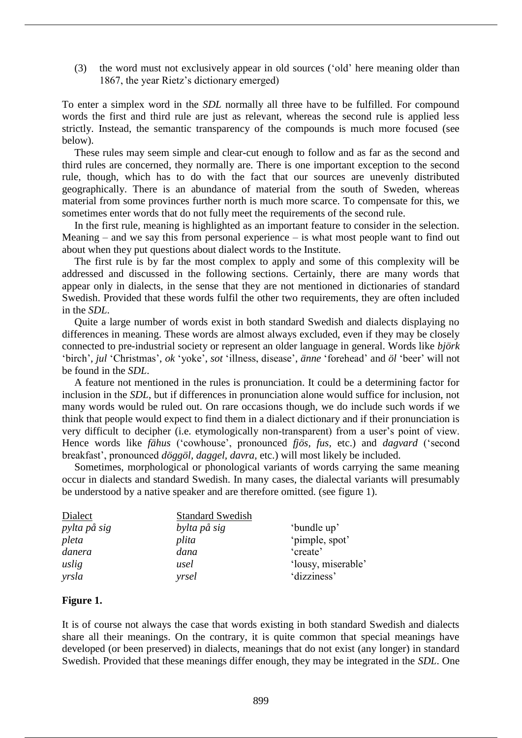(3) the word must not exclusively appear in old sources ('old' here meaning older than 1867, the year Rietz's dictionary emerged)

To enter a simplex word in the *SDL* normally all three have to be fulfilled. For compound words the first and third rule are just as relevant, whereas the second rule is applied less strictly. Instead, the semantic transparency of the compounds is much more focused (see below).

These rules may seem simple and clear-cut enough to follow and as far as the second and third rules are concerned, they normally are. There is one important exception to the second rule, though, which has to do with the fact that our sources are unevenly distributed geographically. There is an abundance of material from the south of Sweden, whereas material from some provinces further north is much more scarce. To compensate for this, we sometimes enter words that do not fully meet the requirements of the second rule.

In the first rule, meaning is highlighted as an important feature to consider in the selection. Meaning – and we say this from personal experience – is what most people want to find out about when they put questions about dialect words to the Institute.

The first rule is by far the most complex to apply and some of this complexity will be addressed and discussed in the following sections. Certainly, there are many words that appear only in dialects, in the sense that they are not mentioned in dictionaries of standard Swedish. Provided that these words fulfil the other two requirements, they are often included in the *SDL*.

Quite a large number of words exist in both standard Swedish and dialects displaying no differences in meaning. These words are almost always excluded, even if they may be closely connected to pre-industrial society or represent an older language in general. Words like *björk* 'birch', *jul* 'Christmas', *ok* 'yoke', *sot* 'illness, disease', *änne* 'forehead' and *öl* 'beer' will not be found in the *SDL*.

A feature not mentioned in the rules is pronunciation. It could be a determining factor for inclusion in the *SDL*, but if differences in pronunciation alone would suffice for inclusion, not many words would be ruled out. On rare occasions though, we do include such words if we think that people would expect to find them in a dialect dictionary and if their pronunciation is very difficult to decipher (i.e. etymologically non-transparent) from a user's point of view. Hence words like *fähus* ('cowhouse', pronounced *fjös, fus,* etc.) and *dagvard* ('second breakfast', pronounced *döggöl, daggel, davra,* etc.) will most likely be included.

Sometimes, morphological or phonological variants of words carrying the same meaning occur in dialects and standard Swedish. In many cases, the dialectal variants will presumably be understood by a native speaker and are therefore omitted. (see figure 1).

| Dialect      | <b>Standard Swedish</b> |                    |
|--------------|-------------------------|--------------------|
| pylta på sig | bylta på sig            | 'bundle up'        |
| pleta        | plita                   | 'pimple, spot'     |
| danera       | dana                    | 'create'           |
| uslig        | usel                    | 'lousy, miserable' |
| yrsla        | yrsel                   | 'dizziness'        |

# **Figure 1.**

It is of course not always the case that words existing in both standard Swedish and dialects share all their meanings. On the contrary, it is quite common that special meanings have developed (or been preserved) in dialects, meanings that do not exist (any longer) in standard Swedish. Provided that these meanings differ enough, they may be integrated in the *SDL*. One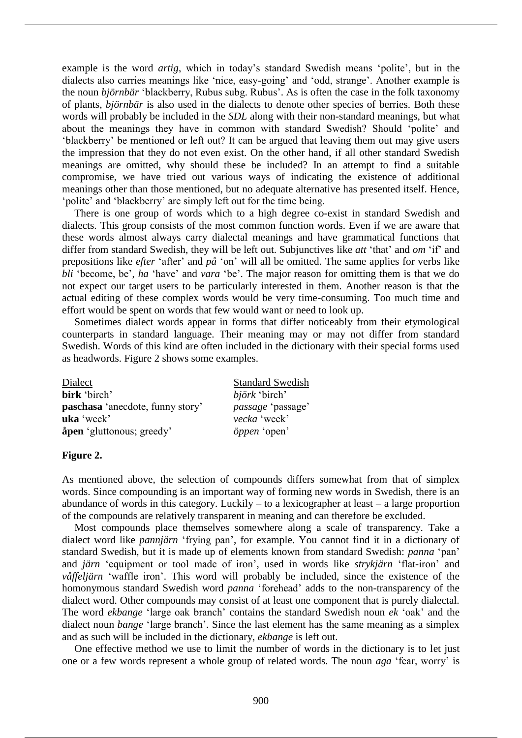example is the word *artig*, which in today's standard Swedish means 'polite', but in the dialects also carries meanings like 'nice, easy-going' and 'odd, strange'. Another example is the noun *björnbär* 'blackberry, Rubus subg. Rubus'. As is often the case in the folk taxonomy of plants, *björnbär* is also used in the dialects to denote other species of berries. Both these words will probably be included in the *SDL* along with their non-standard meanings, but what about the meanings they have in common with standard Swedish? Should 'polite' and 'blackberry' be mentioned or left out? It can be argued that leaving them out may give users the impression that they do not even exist. On the other hand, if all other standard Swedish meanings are omitted, why should these be included? In an attempt to find a suitable compromise, we have tried out various ways of indicating the existence of additional meanings other than those mentioned, but no adequate alternative has presented itself. Hence, 'polite' and 'blackberry' are simply left out for the time being.

There is one group of words which to a high degree co-exist in standard Swedish and dialects. This group consists of the most common function words. Even if we are aware that these words almost always carry dialectal meanings and have grammatical functions that differ from standard Swedish, they will be left out. Subjunctives like *att* 'that' and *om* 'if' and prepositions like *efter* 'after' and *på* 'on' will all be omitted. The same applies for verbs like *bli* 'become, be', *ha* 'have' and *vara* 'be'. The major reason for omitting them is that we do not expect our target users to be particularly interested in them. Another reason is that the actual editing of these complex words would be very time-consuming. Too much time and effort would be spent on words that few would want or need to look up.

Sometimes dialect words appear in forms that differ noticeably from their etymological counterparts in standard language. Their meaning may or may not differ from standard Swedish. Words of this kind are often included in the dictionary with their special forms used as headwords. Figure 2 shows some examples.

| Dialect                                 | <b>Standard Swedish</b>  |
|-----------------------------------------|--------------------------|
| birk 'birch'                            | björk 'birch'            |
| <b>paschasa</b> 'anecdote, funny story' | <i>passage</i> 'passage' |
| uka 'week'                              | vecka 'week'             |
| <b>åpen</b> 'gluttonous; greedy'        | öppen 'open'             |

### **Figure 2.**

As mentioned above, the selection of compounds differs somewhat from that of simplex words. Since compounding is an important way of forming new words in Swedish, there is an abundance of words in this category. Luckily  $-$  to a lexicographer at least  $-$  a large proportion of the compounds are relatively transparent in meaning and can therefore be excluded.

Most compounds place themselves somewhere along a scale of transparency. Take a dialect word like *pannjärn* 'frying pan', for example. You cannot find it in a dictionary of standard Swedish, but it is made up of elements known from standard Swedish: *panna* 'pan' and *järn* 'equipment or tool made of iron', used in words like *strykjärn* 'flat-iron' and *våffeljärn* 'waffle iron'. This word will probably be included, since the existence of the homonymous standard Swedish word *panna* 'forehead' adds to the non-transparency of the dialect word. Other compounds may consist of at least one component that is purely dialectal. The word *ekbange* 'large oak branch' contains the standard Swedish noun *ek* 'oak' and the dialect noun *bange* 'large branch'. Since the last element has the same meaning as a simplex and as such will be included in the dictionary, *ekbange* is left out.

One effective method we use to limit the number of words in the dictionary is to let just one or a few words represent a whole group of related words. The noun *aga* 'fear, worry' is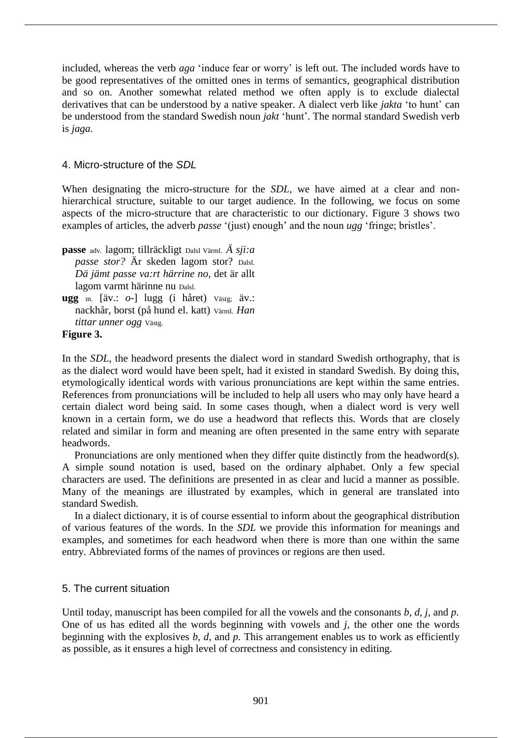included, whereas the verb *aga* 'induce fear or worry' is left out. The included words have to be good representatives of the omitted ones in terms of semantics, geographical distribution and so on. Another somewhat related method we often apply is to exclude dialectal derivatives that can be understood by a native speaker. A dialect verb like *jakta* 'to hunt' can be understood from the standard Swedish noun *jakt* 'hunt'. The normal standard Swedish verb is *jaga.*

# 4. Micro-structure of the *SDL*

When designating the micro-structure for the *SDL*, we have aimed at a clear and nonhierarchical structure, suitable to our target audience. In the following, we focus on some aspects of the micro-structure that are characteristic to our dictionary. Figure 3 shows two examples of articles, the adverb *passe* '(just) enough' and the noun *ugg* 'fringe; bristles'.

**passe** adv. lagom; tillräckligt Dalsl Värml. *Ä sji:a passe stor?* Är skeden lagom stor? Dalsl. *Dä jämt passe va:rt härrine no,* det är allt lagom varmt härinne nu Dalsl.

**ugg** m. [äv.: *o-*] lugg (i håret) Västg; äv.: nackhår, borst (på hund el. katt) Värml. *Han tittar unner ogg* Västg.

# **Figure 3.**

In the *SDL*, the headword presents the dialect word in standard Swedish orthography, that is as the dialect word would have been spelt, had it existed in standard Swedish. By doing this, etymologically identical words with various pronunciations are kept within the same entries. References from pronunciations will be included to help all users who may only have heard a certain dialect word being said. In some cases though, when a dialect word is very well known in a certain form, we do use a headword that reflects this. Words that are closely related and similar in form and meaning are often presented in the same entry with separate headwords.

Pronunciations are only mentioned when they differ quite distinctly from the headword(s). A simple sound notation is used, based on the ordinary alphabet. Only a few special characters are used. The definitions are presented in as clear and lucid a manner as possible. Many of the meanings are illustrated by examples, which in general are translated into standard Swedish.

In a dialect dictionary, it is of course essential to inform about the geographical distribution of various features of the words. In the *SDL* we provide this information for meanings and examples, and sometimes for each headword when there is more than one within the same entry. Abbreviated forms of the names of provinces or regions are then used.

# 5. The current situation

Until today, manuscript has been compiled for all the vowels and the consonants *b, d, j,* and *p*. One of us has edited all the words beginning with vowels and *j*, the other one the words beginning with the explosives *b, d,* and *p.* This arrangement enables us to work as efficiently as possible, as it ensures a high level of correctness and consistency in editing.